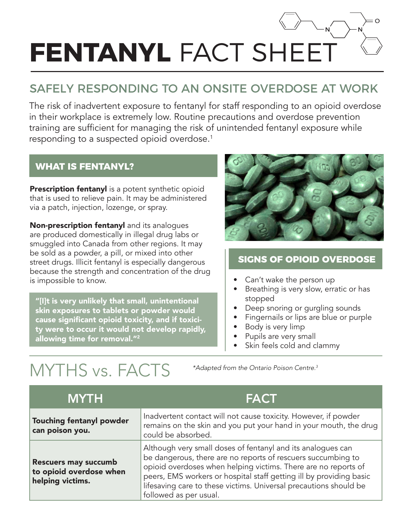# **FENTANYL FACT SHE**

# SAFELY RESPONDING TO AN ONSITE OVERDOSE AT WORK

The risk of inadvertent exposure to fentanyl for staff responding to an opioid overdose in their workplace is extremely low. Routine precautions and overdose prevention training are sufficient for managing the risk of unintended fentanyl exposure while responding to a suspected opioid overdose.1

#### **WHAT IS FENTANYL?**

**Prescription fentanyl** is a potent synthetic opioid that is used to relieve pain. It may be administered via a patch, injection, lozenge, or spray.

Non-prescription fentanyl and its analogues are produced domestically in illegal drug labs or smuggled into Canada from other regions. It may be sold as a powder, a pill, or mixed into other street drugs. Illicit fentanyl is especially dangerous because the strength and concentration of the drug is impossible to know.

"[I]t is very unlikely that small, unintentional skin exposures to tablets or powder would cause significant opioid toxicity, and if toxicity were to occur it would not develop rapidly, allowing time for removal."<sup>2</sup>



### **SIGNS OF OPIOID OVERDOSE**

- Can't wake the person up
- Breathing is very slow, erratic or has stopped
- Deep snoring or gurgling sounds
- Fingernails or lips are blue or purple
- Body is very limp
- Pupils are very small
- Skin feels cold and clammy

# MYTHS vs. FACTS *\*Adapted from the Ontario Poison Centre.3*

| <b>MYTH</b>                                                                | <b>FACT</b>                                                                                                                                                                                                                                                                                                                                                         |
|----------------------------------------------------------------------------|---------------------------------------------------------------------------------------------------------------------------------------------------------------------------------------------------------------------------------------------------------------------------------------------------------------------------------------------------------------------|
| <b>Touching fentanyl powder</b><br>can poison you.                         | Inadvertent contact will not cause toxicity. However, if powder<br>remains on the skin and you put your hand in your mouth, the drug<br>could be absorbed.                                                                                                                                                                                                          |
| <b>Rescuers may succumb</b><br>to opioid overdose when<br>helping victims. | Although very small doses of fentanyl and its analogues can<br>be dangerous, there are no reports of rescuers succumbing to<br>opioid overdoses when helping victims. There are no reports of<br>peers, EMS workers or hospital staff getting ill by providing basic<br>lifesaving care to these victims. Universal precautions should be<br>followed as per usual. |